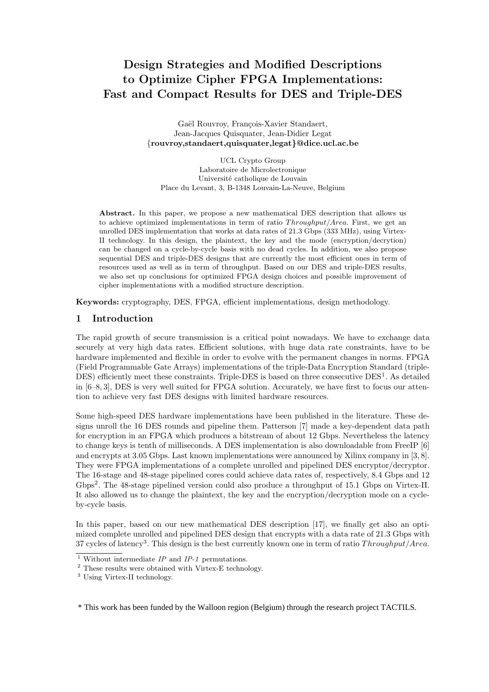# Design Strategies and Modified Descriptions to Optimize Cipher FPGA Implementations: Fast and Compact Results for DES and Triple-DES

Gaël Rouvroy, François-Xavier Standaert, Jean-Jacques Quisquater, Jean-Didier Legat {rouvroy,standaert,quisquater,legat}@dice.ucl.ac.be

UCL Crypto Group Laboratoire de Microlectronique Université catholique de Louvain Place du Levant, 3, B-1348 Louvain-La-Neuve, Belgium

Abstract. In this paper, we propose a new mathematical DES description that allows us to achieve optimized implementations in term of ratio  $Throughout/Area$ . First, we get an unrolled DES implementation that works at data rates of 21.3 Gbps (333 MHz), using Virtex-II technology. In this design, the plaintext, the key and the mode (encryption/decrytion) can be changed on a cycle-by-cycle basis with no dead cycles. In addition, we also propose sequential DES and triple-DES designs that are currently the most efficient ones in term of resources used as well as in term of throughput. Based on our DES and triple-DES results, we also set up conclusions for optimized FPGA design choices and possible improvement of cipher implementations with a modified structure description.

Keywords: cryptography, DES, FPGA, efficient implementations, design methodology.

# 1 Introduction

The rapid growth of secure transmission is a critical point nowadays. We have to exchange data securely at very high data rates. Efficient solutions, with huge data rate constraints, have to be hardware implemented and flexible in order to evolve with the permanent changes in norms. FPGA (Field Programmable Gate Arrays) implementations of the triple-Data Encryption Standard (triple-DES) efficiently meet these constraints. Triple-DES is based on three consecutive DES<sup>1</sup>. As detailed in [6–8, 3], DES is very well suited for FPGA solution. Accurately, we have first to focus our attention to achieve very fast DES designs with limited hardware resources.

Some high-speed DES hardware implementations have been published in the literature. These designs unroll the 16 DES rounds and pipeline them. Patterson [7] made a key-dependent data path for encryption in an FPGA which produces a bitstream of about 12 Gbps. Nevertheless the latency to change keys is tenth of milliseconds. A DES implementation is also downloadable from FreeIP [6] and encrypts at 3.05 Gbps. Last known implementations were announced by Xilinx company in [3, 8]. They were FPGA implementations of a complete unrolled and pipelined DES encryptor/decryptor. The 16-stage and 48-stage pipelined cores could achieve data rates of, respectively, 8.4 Gbps and 12 Gbps<sup>2</sup>. The 48-stage pipelined version could also produce a throughput of 15.1 Gbps on Virtex-II. It also allowed us to change the plaintext, the key and the encryption/decryption mode on a cycleby-cycle basis.

In this paper, based on our new mathematical DES description [17], we finally get also an optimized complete unrolled and pipelined DES design that encrypts with a data rate of 21.3 Gbps with 37 cycles of latency<sup>3</sup>. This design is the best currently known one in term of ratio  $Throughout/Area$ .

\* This work has been funded by the Walloon region (Belgium) through the research project TACTILS.

<sup>&</sup>lt;sup>1</sup> Without intermediate  $IP$  and  $IP-1$  permutations.

<sup>2</sup> These results were obtained with Virtex-E technology.

<sup>3</sup> Using Virtex-II technology.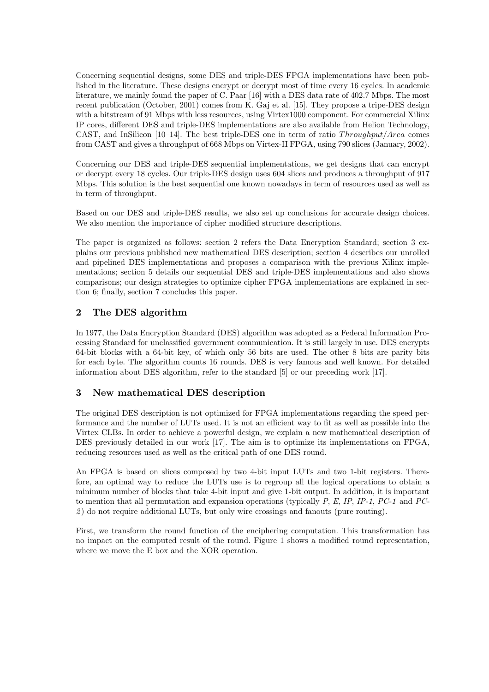Concerning sequential designs, some DES and triple-DES FPGA implementations have been published in the literature. These designs encrypt or decrypt most of time every 16 cycles. In academic literature, we mainly found the paper of C. Paar [16] with a DES data rate of 402.7 Mbps. The most recent publication (October, 2001) comes from K. Gaj et al. [15]. They propose a tripe-DES design with a bitstream of 91 Mbps with less resources, using Virtex1000 component. For commercial Xilinx IP cores, different DES and triple-DES implementations are also available from Helion Technology, CAST, and InSilicon  $[10-14]$ . The best triple-DES one in term of ratio Throughput/Area comes from CAST and gives a throughput of 668 Mbps on Virtex-II FPGA, using 790 slices (January, 2002).

Concerning our DES and triple-DES sequential implementations, we get designs that can encrypt or decrypt every 18 cycles. Our triple-DES design uses 604 slices and produces a throughput of 917 Mbps. This solution is the best sequential one known nowadays in term of resources used as well as in term of throughput.

Based on our DES and triple-DES results, we also set up conclusions for accurate design choices. We also mention the importance of cipher modified structure descriptions.

The paper is organized as follows: section 2 refers the Data Encryption Standard; section 3 explains our previous published new mathematical DES description; section 4 describes our unrolled and pipelined DES implementations and proposes a comparison with the previous Xilinx implementations; section 5 details our sequential DES and triple-DES implementations and also shows comparisons; our design strategies to optimize cipher FPGA implementations are explained in section 6; finally, section 7 concludes this paper.

# 2 The DES algorithm

In 1977, the Data Encryption Standard (DES) algorithm was adopted as a Federal Information Processing Standard for unclassified government communication. It is still largely in use. DES encrypts 64-bit blocks with a 64-bit key, of which only 56 bits are used. The other 8 bits are parity bits for each byte. The algorithm counts 16 rounds. DES is very famous and well known. For detailed information about DES algorithm, refer to the standard [5] or our preceding work [17].

# 3 New mathematical DES description

The original DES description is not optimized for FPGA implementations regarding the speed performance and the number of LUTs used. It is not an efficient way to fit as well as possible into the Virtex CLBs. In order to achieve a powerful design, we explain a new mathematical description of DES previously detailed in our work [17]. The aim is to optimize its implementations on FPGA, reducing resources used as well as the critical path of one DES round.

An FPGA is based on slices composed by two 4-bit input LUTs and two 1-bit registers. Therefore, an optimal way to reduce the LUTs use is to regroup all the logical operations to obtain a minimum number of blocks that take 4-bit input and give 1-bit output. In addition, it is important to mention that all permutation and expansion operations (typically  $P$ ,  $E$ ,  $IP$ ,  $IP$ -1,  $PC$ -1 and  $PC$ -2 ) do not require additional LUTs, but only wire crossings and fanouts (pure routing).

First, we transform the round function of the enciphering computation. This transformation has no impact on the computed result of the round. Figure 1 shows a modified round representation, where we move the E box and the XOR operation.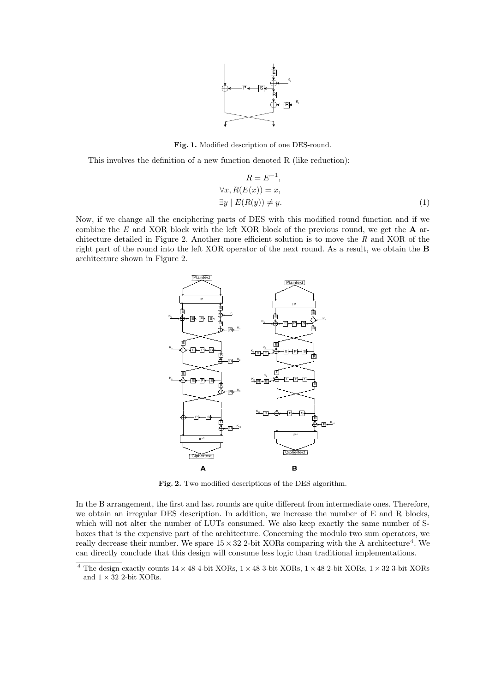

Fig. 1. Modified description of one DES-round.

This involves the definition of a new function denoted R (like reduction):

$$
R = E^{-1},
$$
  
\n
$$
\forall x, R(E(x)) = x,
$$
  
\n
$$
\exists y \mid E(R(y)) \neq y.
$$
\n(1)

Now, if we change all the enciphering parts of DES with this modified round function and if we combine the  $E$  and XOR block with the left XOR block of the previous round, we get the  $A$  architecture detailed in Figure 2. Another more efficient solution is to move the  $R$  and XOR of the right part of the round into the left XOR operator of the next round. As a result, we obtain the B architecture shown in Figure 2.



Fig. 2. Two modified descriptions of the DES algorithm.

In the B arrangement, the first and last rounds are quite different from intermediate ones. Therefore, we obtain an irregular DES description. In addition, we increase the number of E and R blocks, which will not alter the number of LUTs consumed. We also keep exactly the same number of Sboxes that is the expensive part of the architecture. Concerning the modulo two sum operators, we really decrease their number. We spare  $15 \times 32$  2-bit XORs comparing with the A architecture<sup>4</sup>. We can directly conclude that this design will consume less logic than traditional implementations.

 $^4$  The design exactly counts  $14\times48$  4-bit XORs,  $1\times48$  3-bit XORs,  $1\times48$  2-bit XORs,  $1\times32$  3-bit XORs and  $1\times32$  2-bit XORs.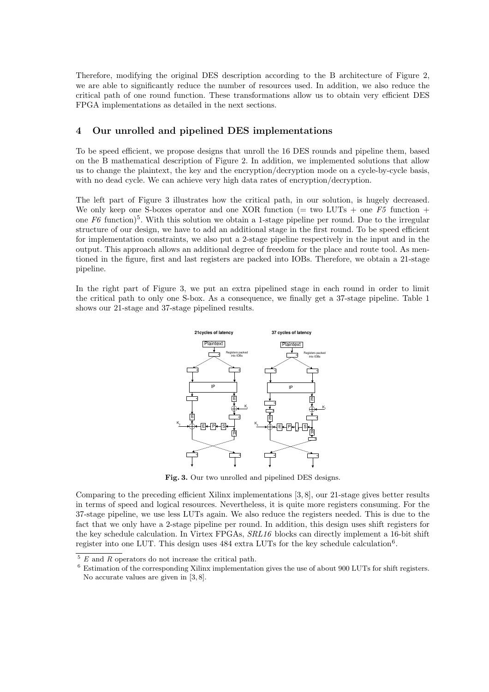Therefore, modifying the original DES description according to the B architecture of Figure 2, we are able to significantly reduce the number of resources used. In addition, we also reduce the critical path of one round function. These transformations allow us to obtain very efficient DES FPGA implementations as detailed in the next sections.

### 4 Our unrolled and pipelined DES implementations

To be speed efficient, we propose designs that unroll the 16 DES rounds and pipeline them, based on the B mathematical description of Figure 2. In addition, we implemented solutions that allow us to change the plaintext, the key and the encryption/decryption mode on a cycle-by-cycle basis, with no dead cycle. We can achieve very high data rates of encryption/decryption.

The left part of Figure 3 illustrates how the critical path, in our solution, is hugely decreased. We only keep one S-boxes operator and one XOR function (= two LUTs + one  $F5$  function + one  $F6$  function)<sup>5</sup>. With this solution we obtain a 1-stage pipeline per round. Due to the irregular structure of our design, we have to add an additional stage in the first round. To be speed efficient for implementation constraints, we also put a 2-stage pipeline respectively in the input and in the output. This approach allows an additional degree of freedom for the place and route tool. As mentioned in the figure, first and last registers are packed into IOBs. Therefore, we obtain a 21-stage pipeline.

In the right part of Figure 3, we put an extra pipelined stage in each round in order to limit the critical path to only one S-box. As a consequence, we finally get a 37-stage pipeline. Table 1 shows our 21-stage and 37-stage pipelined results.



Fig. 3. Our two unrolled and pipelined DES designs.

Comparing to the preceding efficient Xilinx implementations [3, 8], our 21-stage gives better results in terms of speed and logical resources. Nevertheless, it is quite more registers consuming. For the 37-stage pipeline, we use less LUTs again. We also reduce the registers needed. This is due to the fact that we only have a 2-stage pipeline per round. In addition, this design uses shift registers for the key schedule calculation. In Virtex FPGAs, SRL16 blocks can directly implement a 16-bit shift register into one LUT. This design uses  $484$  extra LUTs for the key schedule calculation<sup>6</sup>.

 $5 E$  and R operators do not increase the critical path.

<sup>6</sup> Estimation of the corresponding Xilinx implementation gives the use of about 900 LUTs for shift registers. No accurate values are given in [3, 8].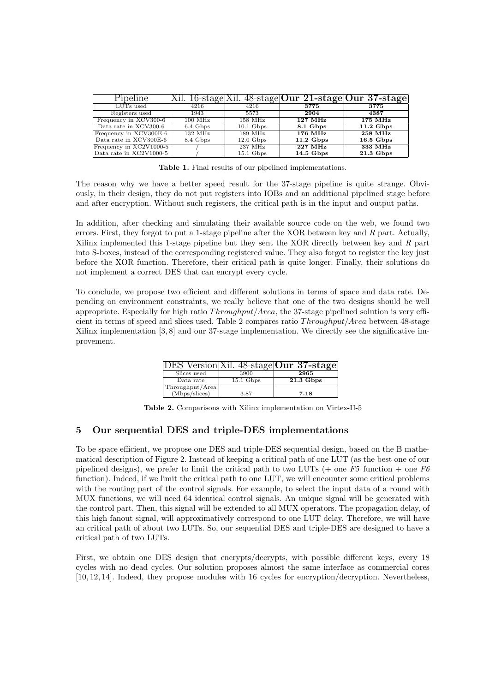| Pipeline                |                     |                       |                     | Xil. 16-stage Xil. 48-stage Our 21-stage Our 37-stage |
|-------------------------|---------------------|-----------------------|---------------------|-------------------------------------------------------|
| LUTs used               | 4216                | 4216                  | 3775                | 3775                                                  |
| Registers used          | 1943                | 5573                  | 2904                | 4387                                                  |
| Frequency in XCV300-6   | $100$ MHz           | $158$ MHz             | $127 \text{ MHz}$   | $175$ MHz                                             |
| Data rate in XCV300-6   | 6.4 Gbps            | $10.1\text{ Gbps}$    | 8.1 Gbps            | $11.2 \text{ Gbps}$                                   |
| Frequency in XCV300E-6  | $132\ \mathrm{MHz}$ | $189$ MHz             | $176$ MHz           | $258$ MHz                                             |
| Data rate in XCV300E-6  | 8.4 Gbps            | $12.0\,\mathrm{Gbps}$ | $11.2 \text{ Gbps}$ | $16.5$ Gbps                                           |
| Frequency in XC2V1000-5 |                     | $237\ \mathrm{MHz}$   | 227 MHz             | 333 MHz                                               |
| Data rate in XC2V1000-5 |                     | $15.1 \text{ Gbps}$   | $14.5$ Gbps         | $21.3\text{ Gbps}$                                    |

Table 1. Final results of our pipelined implementations.

The reason why we have a better speed result for the 37-stage pipeline is quite strange. Obviously, in their design, they do not put registers into IOBs and an additional pipelined stage before and after encryption. Without such registers, the critical path is in the input and output paths.

In addition, after checking and simulating their available source code on the web, we found two errors. First, they forgot to put a 1-stage pipeline after the XOR between key and R part. Actually, Xilinx implemented this 1-stage pipeline but they sent the XOR directly between key and  $R$  part into S-boxes, instead of the corresponding registered value. They also forgot to register the key just before the XOR function. Therefore, their critical path is quite longer. Finally, their solutions do not implement a correct DES that can encrypt every cycle.

To conclude, we propose two efficient and different solutions in terms of space and data rate. Depending on environment constraints, we really believe that one of the two designs should be well appropriate. Especially for high ratio Throughput/Area, the 37-stage pipelined solution is very efficient in terms of speed and slices used. Table 2 compares ratio Throughput/Area between 48-stage Xilinx implementation [3, 8] and our 37-stage implementation. We directly see the significative improvement.

|                 |             | Version Xil. 48-stage Our 37-stage |
|-----------------|-------------|------------------------------------|
| Slices used     | 3900        | 2965                               |
| Data rate       | $15.1$ Gbps | $21.3$ Gbps                        |
| Throughput/Area |             |                                    |
| (Mbps/slices)   | 3.87        | 7.18                               |

Table 2. Comparisons with Xilinx implementation on Virtex-II-5

# 5 Our sequential DES and triple-DES implementations

To be space efficient, we propose one DES and triple-DES sequential design, based on the B mathematical description of Figure 2. Instead of keeping a critical path of one LUT (as the best one of our pipelined designs), we prefer to limit the critical path to two LUTs (+ one  $F5$  function + one  $F6$ function). Indeed, if we limit the critical path to one LUT, we will encounter some critical problems with the routing part of the control signals. For example, to select the input data of a round with MUX functions, we will need 64 identical control signals. An unique signal will be generated with the control part. Then, this signal will be extended to all MUX operators. The propagation delay, of this high fanout signal, will approximatively correspond to one LUT delay. Therefore, we will have an critical path of about two LUTs. So, our sequential DES and triple-DES are designed to have a critical path of two LUTs.

First, we obtain one DES design that encrypts/decrypts, with possible different keys, every 18 cycles with no dead cycles. Our solution proposes almost the same interface as commercial cores [10, 12, 14]. Indeed, they propose modules with 16 cycles for encryption/decryption. Nevertheless,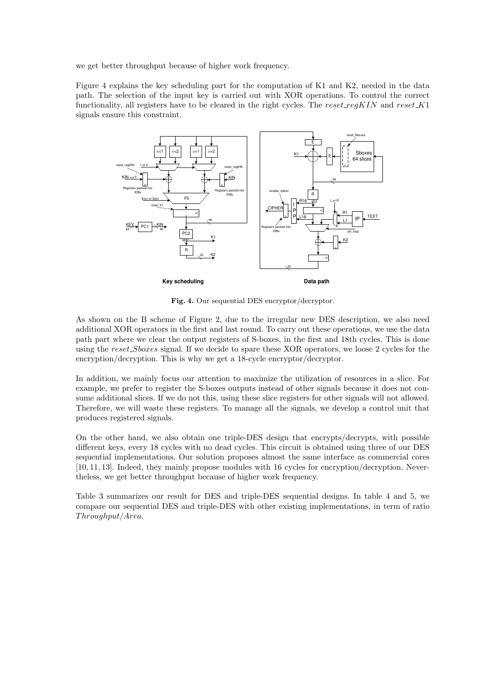we get better throughput because of higher work frequency.

Figure 4 explains the key scheduling part for the computation of K1 and K2, needed in the data path. The selection of the input key is carried out with XOR operations. To control the correct functionality, all registers have to be cleared in the right cycles. The reset reg $KIN$  and reset  $K1$ signals ensure this constraint.



Fig. 4. Our sequential DES encryptor/decryptor.

As shown on the B scheme of Figure 2, due to the irregular new DES description, we also need additional XOR operators in the first and last round. To carry out these operations, we use the data path part where we clear the output registers of S-boxes, in the first and 18th cycles. This is done using the reset\_Sboxes signal. If we decide to spare these XOR operators, we loose 2 cycles for the encryption/decryption. This is why we get a 18-cycle encryptor/decryptor.

In addition, we mainly focus our attention to maximize the utilization of resources in a slice. For example, we prefer to register the S-boxes outputs instead of other signals because it does not consume additional slices. If we do not this, using these slice registers for other signals will not allowed. Therefore, we will waste these registers. To manage all the signals, we develop a control unit that produces registered signals.

On the other hand, we also obtain one triple-DES design that encrypts/decrypts, with possible different keys, every 18 cycles with no dead cycles. This circuit is obtained using three of our DES sequential implementations. Our solution proposes almost the same interface as commercial cores [10, 11, 13]. Indeed, they mainly propose modules with 16 cycles for encryption/decryption. Nevertheless, we get better throughput because of higher work frequency.

Table 3 summarizes our result for DES and triple-DES sequential designs. In table 4 and 5, we compare our sequential DES and triple-DES with other existing implementations, in term of ratio Throughput/Area.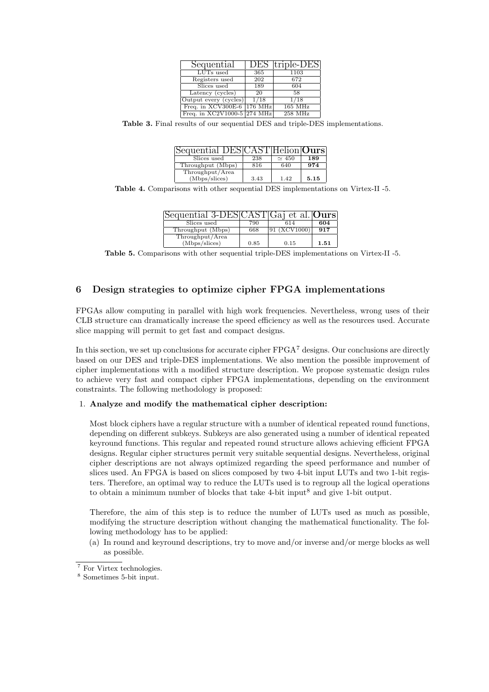| Sequential                  | DES  | triple-DES |
|-----------------------------|------|------------|
| LUTs used                   | 365  | 1103       |
| Registers used              | 202  | 672        |
| Slices used                 | 189  | 604        |
| Latency $(cycles)$          | 20   | 58         |
| Output every (cycles)       | 1/18 | 1/18       |
| Freq. in XCV300E-6 176 MHz  |      | $165$ MHz  |
| Freq. in XC2V1000-5 274 MHz |      | $258$ MHz  |

Table 3. Final results of our sequential DES and triple-DES implementations.

| Sequential DESIC  |      | ST Helion Ours |      |
|-------------------|------|----------------|------|
| Slices used       | 238  | $\sim$ 450     | 189  |
| Throughput (Mbps) | 816  | 640            | 974  |
| Throughput/Area   |      |                |      |
| (Mbps/slices)     | 3.43 | 1.42           | 5.15 |

Table 4. Comparisons with other sequential DES implementations on Virtex-II -5.

| Sequential 3-DESCAS |      | $ST Ga $ et al. <b>Ours</b> |      |
|---------------------|------|-----------------------------|------|
| Slices used         | 790  | 614                         | 604  |
| Throughput (Mbps)   | 668  | (XCV1000)                   | 917  |
| Throughput/Area     |      |                             |      |
| (Mbps/slices)       | 0.85 | 0.15                        | 1.51 |

Table 5. Comparisons with other sequential triple-DES implementations on Virtex-II -5.

# 6 Design strategies to optimize cipher FPGA implementations

FPGAs allow computing in parallel with high work frequencies. Nevertheless, wrong uses of their CLB structure can dramatically increase the speed efficiency as well as the resources used. Accurate slice mapping will permit to get fast and compact designs.

In this section, we set up conclusions for accurate cipher  $FPGA<sup>7</sup>$  designs. Our conclusions are directly based on our DES and triple-DES implementations. We also mention the possible improvement of cipher implementations with a modified structure description. We propose systematic design rules to achieve very fast and compact cipher FPGA implementations, depending on the environment constraints. The following methodology is proposed:

#### 1. Analyze and modify the mathematical cipher description:

Most block ciphers have a regular structure with a number of identical repeated round functions, depending on different subkeys. Subkeys are also generated using a number of identical repeated keyround functions. This regular and repeated round structure allows achieving efficient FPGA designs. Regular cipher structures permit very suitable sequential designs. Nevertheless, original cipher descriptions are not always optimized regarding the speed performance and number of slices used. An FPGA is based on slices composed by two 4-bit input LUTs and two 1-bit registers. Therefore, an optimal way to reduce the LUTs used is to regroup all the logical operations to obtain a minimum number of blocks that take 4-bit input<sup>8</sup> and give 1-bit output.

Therefore, the aim of this step is to reduce the number of LUTs used as much as possible, modifying the structure description without changing the mathematical functionality. The following methodology has to be applied:

(a) In round and keyround descriptions, try to move and/or inverse and/or merge blocks as well as possible.

 $\overline{7}$  For Virtex technologies.

<sup>8</sup> Sometimes 5-bit input.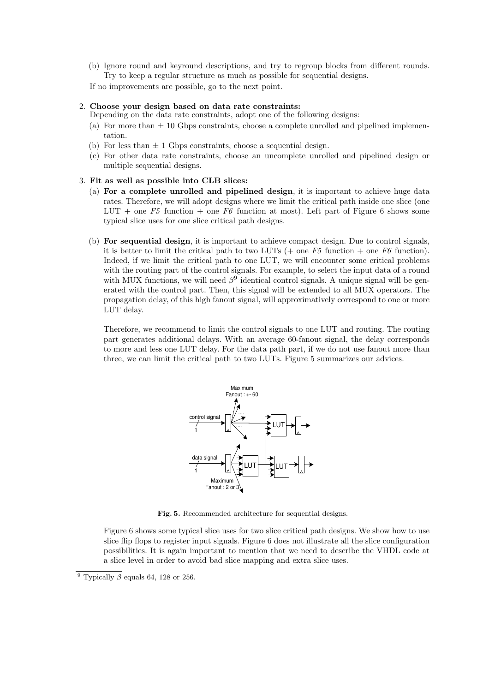(b) Ignore round and keyround descriptions, and try to regroup blocks from different rounds. Try to keep a regular structure as much as possible for sequential designs.

If no improvements are possible, go to the next point.

#### 2. Choose your design based on data rate constraints:

- Depending on the data rate constraints, adopt one of the following designs:
- (a) For more than  $\pm$  10 Gbps constraints, choose a complete unrolled and pipelined implementation.
- (b) For less than  $\pm$  1 Gbps constraints, choose a sequential design.
- (c) For other data rate constraints, choose an uncomplete unrolled and pipelined design or multiple sequential designs.

#### 3. Fit as well as possible into CLB slices:

- (a) For a complete unrolled and pipelined design, it is important to achieve huge data rates. Therefore, we will adopt designs where we limit the critical path inside one slice (one LUT + one  $F5$  function + one  $F6$  function at most). Left part of Figure 6 shows some typical slice uses for one slice critical path designs.
- (b) For sequential design, it is important to achieve compact design. Due to control signals, it is better to limit the critical path to two LUTs (+ one  $F5$  function + one  $F6$  function). Indeed, if we limit the critical path to one LUT, we will encounter some critical problems with the routing part of the control signals. For example, to select the input data of a round with MUX functions, we will need  $\beta^9$  identical control signals. A unique signal will be generated with the control part. Then, this signal will be extended to all MUX operators. The propagation delay, of this high fanout signal, will approximatively correspond to one or more LUT delay.

Therefore, we recommend to limit the control signals to one LUT and routing. The routing part generates additional delays. With an average 60-fanout signal, the delay corresponds to more and less one LUT delay. For the data path part, if we do not use fanout more than three, we can limit the critical path to two LUTs. Figure 5 summarizes our advices.



Fig. 5. Recommended architecture for sequential designs.

Figure 6 shows some typical slice uses for two slice critical path designs. We show how to use slice flip flops to register input signals. Figure 6 does not illustrate all the slice configuration possibilities. It is again important to mention that we need to describe the VHDL code at a slice level in order to avoid bad slice mapping and extra slice uses.

<sup>&</sup>lt;sup>9</sup> Typically  $\beta$  equals 64, 128 or 256.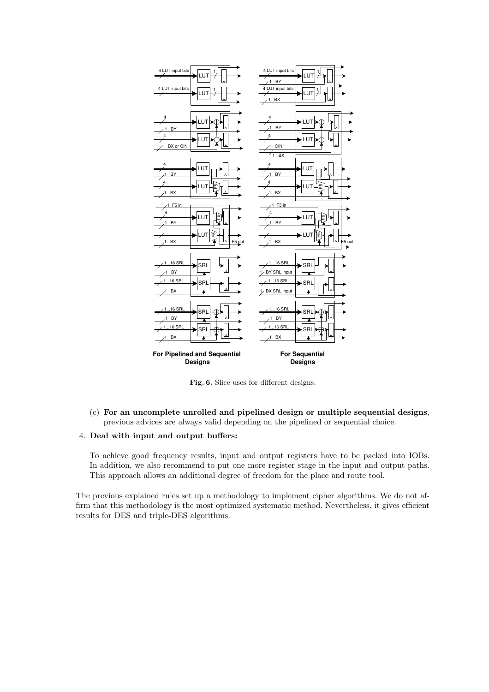

Fig. 6. Slice uses for different designs.

(c) For an uncomplete unrolled and pipelined design or multiple sequential designs, previous advices are always valid depending on the pipelined or sequential choice.

### 4. Deal with input and output buffers:

To achieve good frequency results, input and output registers have to be packed into IOBs. In addition, we also recommend to put one more register stage in the input and output paths. This approach allows an additional degree of freedom for the place and route tool.

The previous explained rules set up a methodology to implement cipher algorithms. We do not affirm that this methodology is the most optimized systematic method. Nevertheless, it gives efficient results for DES and triple-DES algorithms.